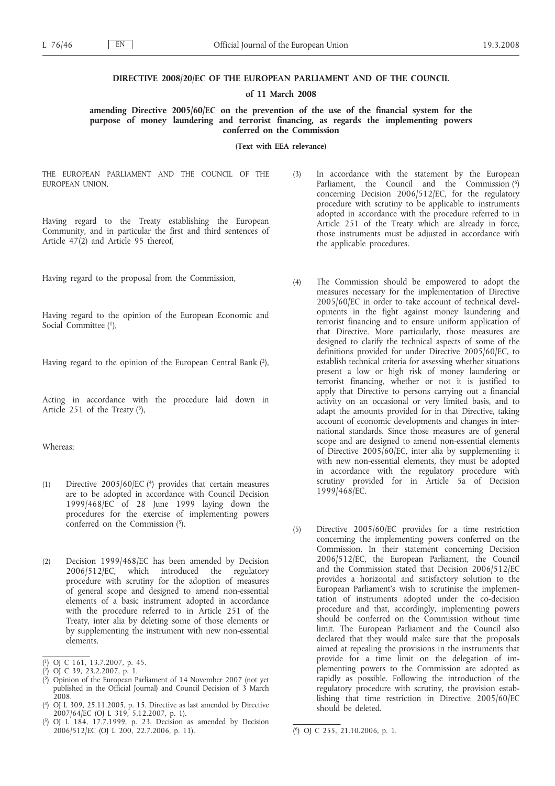### **DIRECTIVE 2008/20/EC OF THE EUROPEAN PARLIAMENT AND OF THE COUNCIL**

#### **of 11 March 2008**

**amending Directive 2005/60/EC on the prevention of the use of the financial system for the purpose of money laundering and terrorist financing, as regards the implementing powers conferred on the Commission**

**(Text with EEA relevance)**

THE EUROPEAN PARLIAMENT AND THE COUNCIL OF THE EUROPEAN UNION,

Having regard to the Treaty establishing the European Community, and in particular the first and third sentences of Article 47(2) and Article 95 thereof,

Having regard to the proposal from the Commission,

Having regard to the opinion of the European Economic and Social Committee (1),

Having regard to the opinion of the European Central Bank (2),

Acting in accordance with the procedure laid down in Article 251 of the Treaty  $(3)$ ,

Whereas:

- (1) Directive 2005/60/EC (4) provides that certain measures are to be adopted in accordance with Council Decision 1999/468/EC of 28 June 1999 laying down the procedures for the exercise of implementing powers conferred on the Commission (5).
- (2) Decision 1999/468/EC has been amended by Decision 2006/512/EC, which introduced the regulatory procedure with scrutiny for the adoption of measures of general scope and designed to amend non-essential elements of a basic instrument adopted in accordance with the procedure referred to in Article 251 of the Treaty, inter alia by deleting some of those elements or by supplementing the instrument with new non-essential elements.

- ( 3) Opinion of the European Parliament of 14 November 2007 (not yet published in the Official Journal) and Council Decision of 3 March 2008.
- ( 4) OJ L 309, 25.11.2005, p. 15. Directive as last amended by Directive 2007/64/EC (OJ L 319, 5.12.2007, p. 1).
- ( 5) OJ L 184, 17.7.1999, p. 23. Decision as amended by Decision 2006/512/EC (OJ L 200, 22.7.2006, p. 11). (
- (3) In accordance with the statement by the European Parliament, the Council and the Commission (6) concerning Decision 2006/512/EC, for the regulatory procedure with scrutiny to be applicable to instruments adopted in accordance with the procedure referred to in Article 251 of the Treaty which are already in force, those instruments must be adjusted in accordance with the applicable procedures.
- (4) The Commission should be empowered to adopt the measures necessary for the implementation of Directive 2005/60/EC in order to take account of technical developments in the fight against money laundering and terrorist financing and to ensure uniform application of that Directive. More particularly, those measures are designed to clarify the technical aspects of some of the definitions provided for under Directive 2005/60/EC, to establish technical criteria for assessing whether situations present a low or high risk of money laundering or terrorist financing, whether or not it is justified to apply that Directive to persons carrying out a financial activity on an occasional or very limited basis, and to adapt the amounts provided for in that Directive, taking account of economic developments and changes in international standards. Since those measures are of general scope and are designed to amend non-essential elements of Directive 2005/60/EC, inter alia by supplementing it with new non-essential elements, they must be adopted in accordance with the regulatory procedure with scrutiny provided for in Article 5a of Decision 1999/468/EC.
- (5) Directive 2005/60/EC provides for a time restriction concerning the implementing powers conferred on the Commission. In their statement concerning Decision 2006/512/EC, the European Parliament, the Council and the Commission stated that Decision 2006/512/EC provides a horizontal and satisfactory solution to the European Parliament's wish to scrutinise the implementation of instruments adopted under the co-decision procedure and that, accordingly, implementing powers should be conferred on the Commission without time limit. The European Parliament and the Council also declared that they would make sure that the proposals aimed at repealing the provisions in the instruments that provide for a time limit on the delegation of implementing powers to the Commission are adopted as rapidly as possible. Following the introduction of the regulatory procedure with scrutiny, the provision establishing that time restriction in Directive 2005/60/EC should be deleted.

<sup>(</sup> 1) OJ C 161, 13.7.2007, p. 45.

<sup>(</sup> 2) OJ C 39, 23.2.2007, p. 1.

 $\overline{^{(6)}$  OJ C 255, 21.10.2006, p. 1.